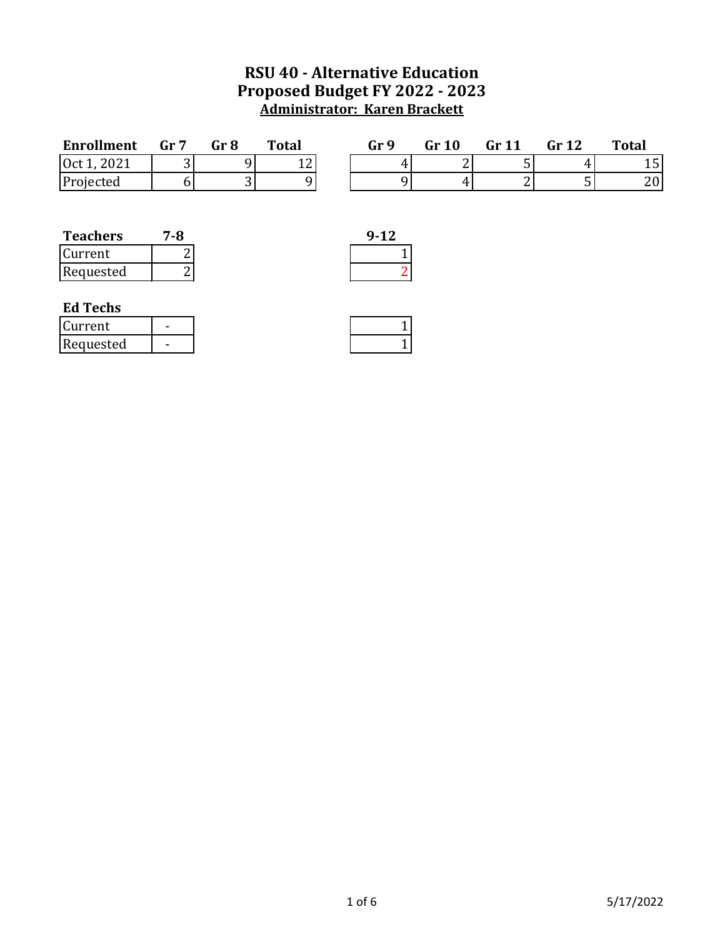## **RSU 40 - Alternative Education Proposed Budget FY 2022 - 2023 Administrator: Karen Brackett**

| <b>Enrollment</b> | Gr <sub>7</sub> | Gr 8 | <b>Total</b> | Gr 9 | Gr 10  | Gr <sub>11</sub> | Gr 12 | <b>Total</b> |
|-------------------|-----------------|------|--------------|------|--------|------------------|-------|--------------|
| 2021<br>0ct1      |                 |      | $\sim$<br>ᅩᄼ |      | ∽<br>∸ |                  |       | ⊥∪           |
| Projected         |                 |      |              |      |        |                  |       | 20           |
|                   |                 |      |              |      |        |                  |       |              |

| <b>Teachers</b> | 7-R | $9 - 12$ |
|-----------------|-----|----------|
| Current         |     |          |
| Requested       |     |          |

| 9-12 |  |
|------|--|
|      |  |
|      |  |
|      |  |

## **Ed Techs**

| lCurrent  |  |
|-----------|--|
| Requested |  |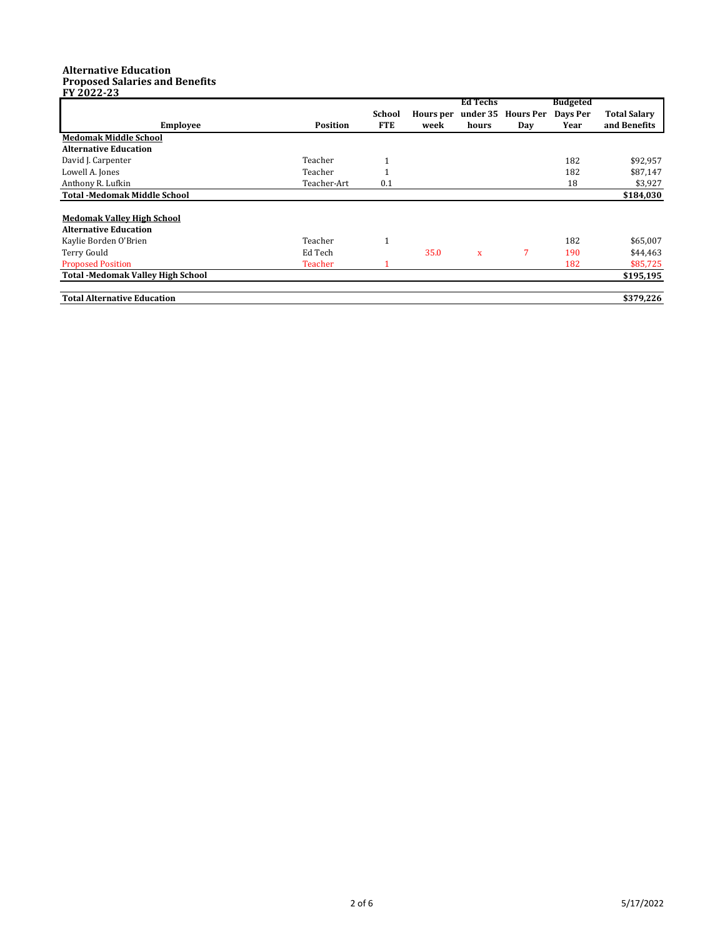## **Alternative Education Proposed Salaries and Benefits**

| FY 2022-23                               |                 |                      |                          |                                      |                         |                                     |                                     |
|------------------------------------------|-----------------|----------------------|--------------------------|--------------------------------------|-------------------------|-------------------------------------|-------------------------------------|
| <b>Employee</b>                          | <b>Position</b> | School<br><b>FTE</b> | <b>Hours</b> per<br>week | <b>Ed Techs</b><br>under 35<br>hours | <b>Hours Per</b><br>Day | <b>Budgeted</b><br>Days Per<br>Year | <b>Total Salary</b><br>and Benefits |
| <b>Medomak Middle School</b>             |                 |                      |                          |                                      |                         |                                     |                                     |
| <b>Alternative Education</b>             |                 |                      |                          |                                      |                         |                                     |                                     |
| David J. Carpenter                       | Teacher         | 1                    |                          |                                      |                         | 182                                 | \$92,957                            |
| Lowell A. Jones                          | Teacher         | 1                    |                          |                                      |                         | 182                                 | \$87,147                            |
| Anthony R. Lufkin                        | Teacher-Art     | 0.1                  |                          |                                      |                         | 18                                  | \$3,927                             |
| <b>Total -Medomak Middle School</b>      |                 |                      |                          |                                      |                         |                                     | \$184,030                           |
| <b>Medomak Valley High School</b>        |                 |                      |                          |                                      |                         |                                     |                                     |
| <b>Alternative Education</b>             |                 |                      |                          |                                      |                         |                                     |                                     |
| Kaylie Borden O'Brien                    | Teacher         | 1                    |                          |                                      |                         | 182                                 | \$65,007                            |
| Terry Gould                              | Ed Tech         |                      | 35.0                     | $\mathbf{x}$                         | 7                       | 190                                 | \$44,463                            |
| <b>Proposed Position</b>                 | Teacher         | 1                    |                          |                                      |                         | 182                                 | \$85,725                            |
| <b>Total -Medomak Valley High School</b> |                 |                      |                          |                                      |                         |                                     | \$195,195                           |
| <b>Total Alternative Education</b>       |                 |                      |                          |                                      |                         |                                     | \$379,226                           |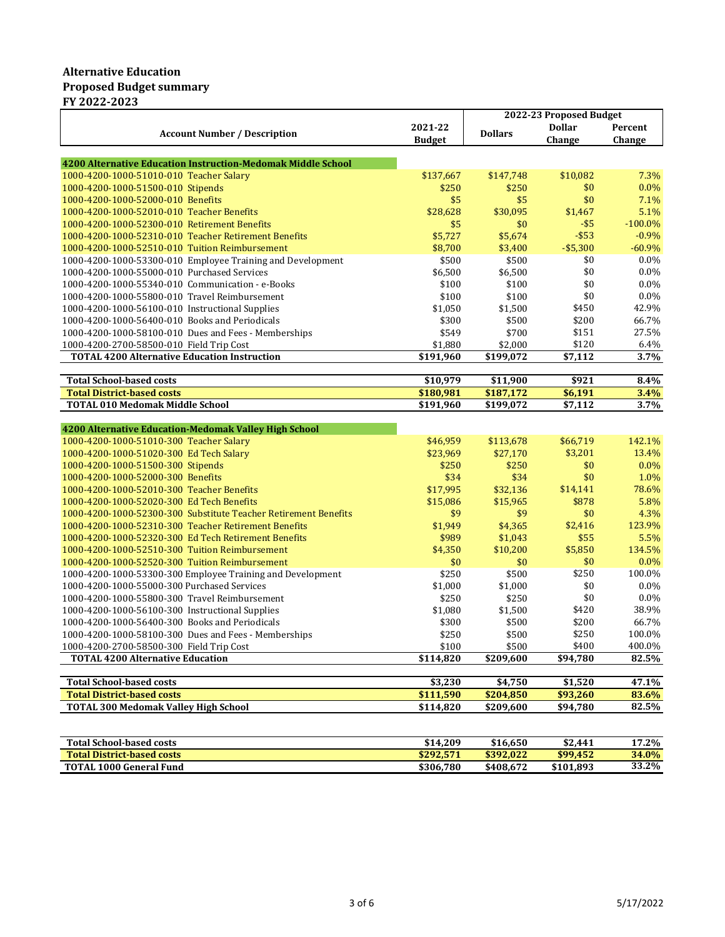## **Alternative Education Proposed Budget summary FY 2022-2023**

|                                                                 |               | 2022-23 Proposed Budget |               |            |
|-----------------------------------------------------------------|---------------|-------------------------|---------------|------------|
| <b>Account Number / Description</b>                             | 2021-22       | <b>Dollars</b>          | <b>Dollar</b> | Percent    |
|                                                                 | <b>Budget</b> |                         | Change        | Change     |
|                                                                 |               |                         |               |            |
| 4200 Alternative Education Instruction-Medomak Middle School    |               |                         |               |            |
| 1000-4200-1000-51010-010 Teacher Salary                         | \$137,667     | \$147,748               | \$10,082      | 7.3%       |
| 1000-4200-1000-51500-010 Stipends                               | \$250         | \$250                   | \$0           | $0.0\%$    |
| 1000-4200-1000-52000-010 Benefits                               | \$5           | \$5                     | \$0           | 7.1%       |
| 1000-4200-1000-52010-010 Teacher Benefits                       | \$28,628      | \$30,095                | \$1,467       | 5.1%       |
| 1000-4200-1000-52300-010 Retirement Benefits                    | \$5           | \$0                     | $-$ \$5       | $-100.0\%$ |
| 1000-4200-1000-52310-010 Teacher Retirement Benefits            | \$5,727       | \$5,674                 | $-$ \$53      | $-0.9%$    |
| 1000-4200-1000-52510-010 Tuition Reimbursement                  | \$8.700       | \$3,400                 | $- $5,300$    | $-60.9%$   |
| 1000-4200-1000-53300-010 Employee Training and Development      | \$500         | \$500                   | \$0           | 0.0%       |
| 1000-4200-1000-55000-010 Purchased Services                     | \$6,500       | \$6,500                 | \$0           | $0.0\%$    |
| 1000-4200-1000-55340-010 Communication - e-Books                | \$100         | \$100                   | \$0           | $0.0\%$    |
| 1000-4200-1000-55800-010 Travel Reimbursement                   | \$100         | \$100                   | \$0           | $0.0\%$    |
| 1000-4200-1000-56100-010 Instructional Supplies                 | \$1,050       | \$1,500                 | \$450         | 42.9%      |
| 1000-4200-1000-56400-010 Books and Periodicals                  | \$300         | \$500                   | \$200         | 66.7%      |
| 1000-4200-1000-58100-010 Dues and Fees - Memberships            | \$549         | \$700                   | \$151         | 27.5%      |
| 1000-4200-2700-58500-010 Field Trip Cost                        | \$1,880       | \$2,000                 | \$120         | 6.4%       |
| <b>TOTAL 4200 Alternative Education Instruction</b>             | \$191,960     | \$199.072               | \$7,112       | 3.7%       |
| <b>Total School-based costs</b>                                 | \$10,979      | \$11,900                | \$921         | 8.4%       |
| <b>Total District-based costs</b>                               | \$180,981     | \$187,172               | \$6,191       | 3.4%       |
| <b>TOTAL 010 Medomak Middle School</b>                          | \$191,960     | \$199,072               | \$7,112       | 3.7%       |
|                                                                 |               |                         |               |            |
| 4200 Alternative Education-Medomak Valley High School           |               |                         |               |            |
| 1000-4200-1000-51010-300 Teacher Salary                         | \$46,959      | \$113,678               | \$66,719      | 142.1%     |
| 1000-4200-1000-51020-300 Ed Tech Salary                         | \$23,969      | \$27,170                | \$3,201       | 13.4%      |
| 1000-4200-1000-51500-300 Stipends                               | \$250         | \$250                   | \$0           | 0.0%       |
| 1000-4200-1000-52000-300 Benefits                               | \$34          | \$34                    | \$0           | 1.0%       |
| 1000-4200-1000-52010-300 Teacher Benefits                       | \$17,995      | \$32,136                | \$14,141      | 78.6%      |
| 1000-4200-1000-52020-300 Ed Tech Benefits                       | \$15,086      | \$15,965                | \$878         | 5.8%       |
| 1000-4200-1000-52300-300 Substitute Teacher Retirement Benefits | \$9           | \$9                     | \$0           | 4.3%       |
| 1000-4200-1000-52310-300 Teacher Retirement Benefits            | \$1,949       | \$4,365                 | \$2,416       | 123.9%     |
| 1000-4200-1000-52320-300 Ed Tech Retirement Benefits            | \$989         | \$1,043                 | \$55          | 5.5%       |
| 1000-4200-1000-52510-300 Tuition Reimbursement                  | \$4,350       | \$10,200                | \$5,850       | 134.5%     |
| 1000-4200-1000-52520-300 Tuition Reimbursement                  | \$0           | \$0                     | \$0           | 0.0%       |
| 1000-4200-1000-53300-300 Employee Training and Development      | \$250         | \$500                   | \$250         | 100.0%     |
| 1000-4200-1000-55000-300 Purchased Services                     | \$1,000       | \$1,000                 | \$0           | $0.0\%$    |
| 1000-4200-1000-55800-300 Travel Reimbursement                   | \$250         | \$250                   | \$0           | $0.0\%$    |
| 1000-4200-1000-56100-300 Instructional Supplies                 | \$1,080       | \$1,500                 | \$420         | 38.9%      |
| 1000-4200-1000-56400-300 Books and Periodicals                  | \$300         | \$500                   | \$200         | 66.7%      |
| 1000-4200-1000-58100-300 Dues and Fees - Memberships            | \$250         | \$500                   | \$250         | 100.0%     |
| 1000-4200-2700-58500-300 Field Trip Cost                        | \$100         | \$500                   | \$400         | 400.0%     |
| <b>TOTAL 4200 Alternative Education</b>                         | \$114,820     | \$209,600               | \$94,780      | 82.5%      |
|                                                                 |               |                         |               |            |
| <b>Total School-based costs</b>                                 | \$3,230       | \$4,750                 | \$1,520       | 47.1%      |
| <b>Total District-based costs</b>                               | \$111,590     | \$204,850               | \$93,260      | 83.6%      |
| <b>TOTAL 300 Medomak Valley High School</b>                     | \$114,820     | \$209,600               | \$94,780      | 82.5%      |
|                                                                 |               |                         |               |            |

| <b>Total School-based costs</b>   | \$14.209  | \$16.650  | \$2.441   | 17.2% |
|-----------------------------------|-----------|-----------|-----------|-------|
| <b>Total District-based costs</b> | \$292.571 | \$392.022 | \$99.452  | 34.0% |
| <b>TOTAL 1000 General Fund</b>    | \$306,780 | \$408.672 | \$101.893 | 33.2% |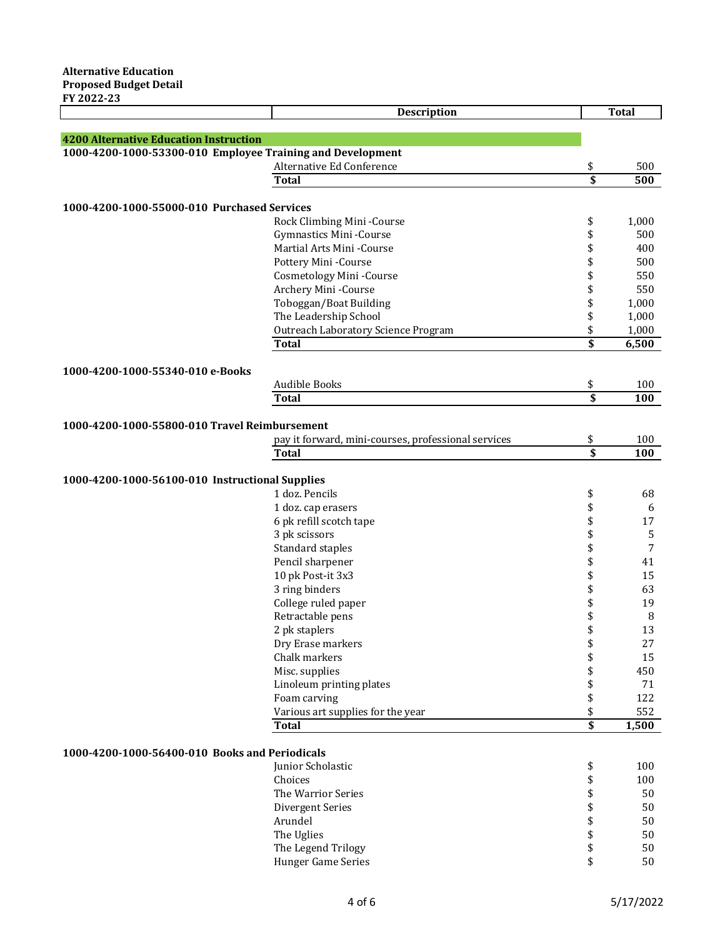|                                                            | Description                                         |                 | <b>Total</b> |
|------------------------------------------------------------|-----------------------------------------------------|-----------------|--------------|
|                                                            |                                                     |                 |              |
| <b>4200 Alternative Education Instruction</b>              |                                                     |                 |              |
| 1000-4200-1000-53300-010 Employee Training and Development |                                                     |                 |              |
|                                                            | Alternative Ed Conference                           | \$              | 500          |
|                                                            | <b>Total</b>                                        |                 | 500          |
|                                                            |                                                     |                 |              |
| 1000-4200-1000-55000-010 Purchased Services                |                                                     |                 |              |
|                                                            | Rock Climbing Mini-Course                           | \$              | 1,000        |
|                                                            | Gymnastics Mini-Course                              | \$              | 500          |
|                                                            | Martial Arts Mini -Course                           | \$              | 400          |
|                                                            | Pottery Mini-Course                                 | \$              | 500          |
|                                                            | <b>Cosmetology Mini-Course</b>                      | \$              | 550          |
|                                                            | Archery Mini-Course                                 | \$              | 550          |
|                                                            | Toboggan/Boat Building                              | \$              | 1,000        |
|                                                            | The Leadership School                               | \$              | 1,000        |
|                                                            | Outreach Laboratory Science Program                 | \$              | 1,000        |
|                                                            | <b>Total</b>                                        | \$              | 6,500        |
|                                                            |                                                     |                 |              |
| 1000-4200-1000-55340-010 e-Books                           |                                                     |                 |              |
|                                                            | Audible Books                                       | \$              | 100          |
|                                                            | <b>Total</b>                                        | $\overline{\$}$ | 100          |
|                                                            |                                                     |                 |              |
| 1000-4200-1000-55800-010 Travel Reimbursement              |                                                     |                 |              |
|                                                            | pay it forward, mini-courses, professional services | \$              | 100          |
|                                                            | <b>Total</b>                                        | \$              | 100          |
|                                                            |                                                     |                 |              |
| 1000-4200-1000-56100-010 Instructional Supplies            |                                                     |                 |              |
|                                                            | 1 doz. Pencils                                      | \$              | 68           |
|                                                            | 1 doz. cap erasers                                  | \$              | 6            |
|                                                            | 6 pk refill scotch tape                             | \$              | 17           |
|                                                            | 3 pk scissors                                       | \$              | 5            |
|                                                            | Standard staples                                    | \$              | 7            |
|                                                            | Pencil sharpener                                    | \$              | 41           |
|                                                            | 10 pk Post-it 3x3                                   | \$              | 15           |
|                                                            | 3 ring binders                                      | \$              | 63           |
|                                                            | College ruled paper                                 | \$              | 19           |
|                                                            | Retractable pens                                    | \$              | 8            |
|                                                            | 2 pk staplers                                       | \$              | 13           |
|                                                            | Dry Erase markers                                   | \$              | 27           |
|                                                            | Chalk markers                                       | \$              | 15           |
|                                                            | Misc. supplies                                      | \$              | 450          |
|                                                            | Linoleum printing plates                            | \$              | 71           |
|                                                            | Foam carving                                        | \$              | 122          |
|                                                            | Various art supplies for the year                   | \$              | 552          |
|                                                            | <b>Total</b>                                        | \$              | 1,500        |
|                                                            |                                                     |                 |              |
| 1000-4200-1000-56400-010 Books and Periodicals             |                                                     |                 |              |
|                                                            | Junior Scholastic                                   | \$              | 100          |
|                                                            | Choices                                             | \$              | 100          |
|                                                            | The Warrior Series                                  | \$              | 50           |
|                                                            | Divergent Series                                    | \$              | 50           |
|                                                            | Arundel                                             |                 | 50           |
|                                                            | The Uglies                                          | \$\$\$          | 50           |
|                                                            | The Legend Trilogy                                  |                 | 50           |
|                                                            | Hunger Game Series                                  | \$              | 50           |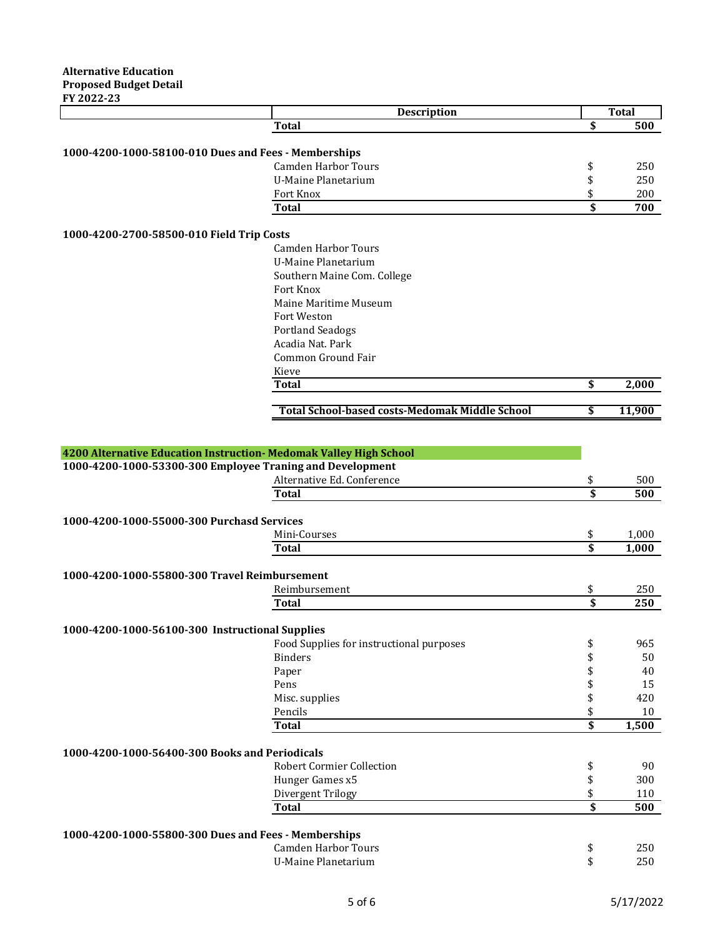|                                                                    | Description                                           |                 | <b>Total</b> |
|--------------------------------------------------------------------|-------------------------------------------------------|-----------------|--------------|
|                                                                    | <b>Total</b>                                          | \$              | 500          |
|                                                                    |                                                       |                 |              |
| 1000-4200-1000-58100-010 Dues and Fees - Memberships               |                                                       |                 |              |
|                                                                    | <b>Camden Harbor Tours</b>                            | \$              | 250          |
|                                                                    | <b>U-Maine Planetarium</b>                            | \$              | 250          |
|                                                                    | Fort Knox                                             | \$              | 200          |
|                                                                    | <b>Total</b>                                          | \$              | 700          |
|                                                                    |                                                       |                 |              |
| 1000-4200-2700-58500-010 Field Trip Costs                          |                                                       |                 |              |
|                                                                    | <b>Camden Harbor Tours</b>                            |                 |              |
|                                                                    | <b>U-Maine Planetarium</b>                            |                 |              |
|                                                                    | Southern Maine Com. College                           |                 |              |
|                                                                    | Fort Knox                                             |                 |              |
|                                                                    | Maine Maritime Museum                                 |                 |              |
|                                                                    | Fort Weston                                           |                 |              |
|                                                                    | <b>Portland Seadogs</b>                               |                 |              |
|                                                                    | Acadia Nat. Park                                      |                 |              |
|                                                                    | Common Ground Fair                                    |                 |              |
|                                                                    | Kieve                                                 |                 |              |
|                                                                    | <b>Total</b>                                          | \$              | 2,000        |
|                                                                    |                                                       |                 |              |
|                                                                    | <b>Total School-based costs-Medomak Middle School</b> | \$              | 11,900       |
|                                                                    |                                                       |                 |              |
| 4200 Alternative Education Instruction- Medomak Valley High School |                                                       |                 |              |
| 1000-4200-1000-53300-300 Employee Traning and Development          |                                                       |                 |              |
|                                                                    | Alternative Ed. Conference                            | \$              | 500          |
|                                                                    | <b>Total</b>                                          | \$              | 500          |
|                                                                    |                                                       |                 |              |
| 1000-4200-1000-55000-300 Purchasd Services                         |                                                       |                 |              |
|                                                                    | Mini-Courses                                          | \$              | 1,000        |
|                                                                    | <b>Total</b>                                          | $\overline{\$}$ | 1,000        |
|                                                                    |                                                       |                 |              |
| 1000-4200-1000-55800-300 Travel Reimbursement                      |                                                       |                 |              |
|                                                                    | Reimbursement                                         | \$              | 250          |
|                                                                    | <b>Total</b>                                          | \$              | 250          |
|                                                                    |                                                       |                 |              |
| 1000-4200-1000-56100-300 Instructional Supplies                    |                                                       |                 |              |
|                                                                    | Food Supplies for instructional purposes              | \$              | 965          |
|                                                                    | <b>Binders</b>                                        | \$              | 50           |
|                                                                    | Paper                                                 | \$              | 40           |
|                                                                    | Pens                                                  | \$              | 15           |
|                                                                    | Misc. supplies                                        | \$              | 420          |
|                                                                    | Pencils                                               | \$              | 10           |
|                                                                    | <b>Total</b>                                          | \$              | 1,500        |
|                                                                    |                                                       |                 |              |
| 1000-4200-1000-56400-300 Books and Periodicals                     |                                                       |                 |              |
|                                                                    | <b>Robert Cormier Collection</b>                      | \$              | 90           |
|                                                                    | Hunger Games x5                                       | \$              | 300          |
|                                                                    | Divergent Trilogy                                     | \$              | 110          |
|                                                                    | <b>Total</b>                                          | \$              | 500          |
|                                                                    |                                                       |                 |              |
| 1000-4200-1000-55800-300 Dues and Fees - Memberships               |                                                       |                 |              |
|                                                                    | <b>Camden Harbor Tours</b>                            | \$              | 250          |
|                                                                    | <b>U-Maine Planetarium</b>                            | \$              | 250          |
|                                                                    |                                                       |                 |              |